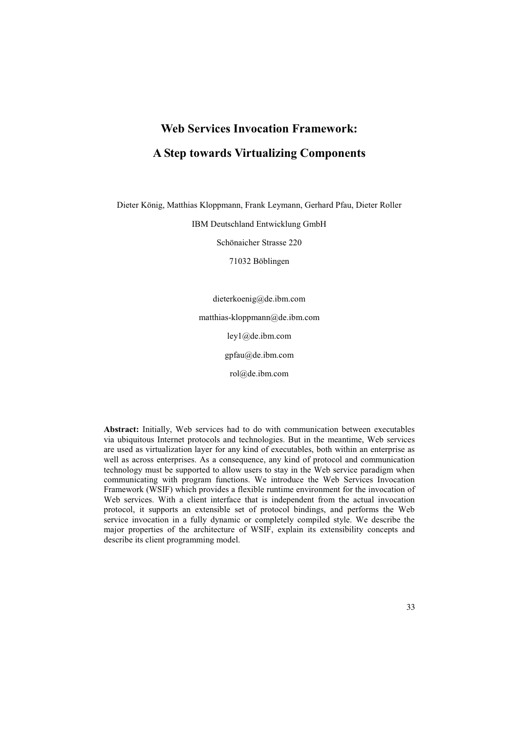# **Web Services Invocation Framework: A Step towards Virtualizing Components**

Dieter König, Matthias Kloppmann, Frank Leymann, Gerhard Pfau, Dieter Roller

IBM Deutschland Entwicklung GmbH

Schönaicher Strasse 220

71032 Böblingen

dieterkoenig@de.ibm.com matthias-kloppmann@de.ibm.com ley1@de.ibm.com gpfau@de.ibm.com rol@de.ibm.com

**Abstract:** Initially, Web services had to do with communication between executables via ubiquitous Internet protocols and technologies. But in the meantime, Web services are used as virtualization layer for any kind of executables, both within an enterprise as well as across enterprises. As a consequence, any kind of protocol and communication technology must be supported to allow users to stay in the Web service paradigm when communicating with program functions. We introduce the Web Services Invocation Framework (WSIF) which provides a flexible runtime environment for the invocation of Web services. With a client interface that is independent from the actual invocation protocol, it supports an extensible set of protocol bindings, and performs the Web service invocation in a fully dynamic or completely compiled style. We describe the major properties of the architecture of WSIF, explain its extensibility concepts and describe its client programming model.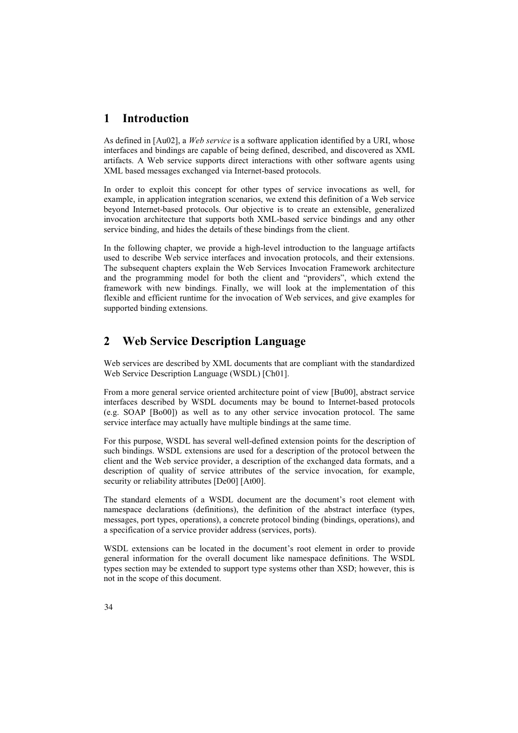## **1 Introduction**

As defined in [Au02], a *Web service* is a software application identified by a URI, whose interfaces and bindings are capable of being defined, described, and discovered as XML artifacts. A Web service supports direct interactions with other software agents using XML based messages exchanged via Internet-based protocols.

In order to exploit this concept for other types of service invocations as well, for example, in application integration scenarios, we extend this definition of a Web service beyond Internet-based protocols. Our objective is to create an extensible, generalized invocation architecture that supports both XML-based service bindings and any other service binding, and hides the details of these bindings from the client.

In the following chapter, we provide a high-level introduction to the language artifacts used to describe Web service interfaces and invocation protocols, and their extensions. The subsequent chapters explain the Web Services Invocation Framework architecture and the programming model for both the client and "providers", which extend the framework with new bindings. Finally, we will look at the implementation of this flexible and efficient runtime for the invocation of Web services, and give examples for supported binding extensions.

# **2 Web Service Description Language**

Web services are described by XML documents that are compliant with the standardized Web Service Description Language (WSDL) [Ch01].

From a more general service oriented architecture point of view [Bu00], abstract service interfaces described by WSDL documents may be bound to Internet-based protocols (e.g. SOAP [Bo00]) as well as to any other service invocation protocol. The same service interface may actually have multiple bindings at the same time.

For this purpose, WSDL has several well-defined extension points for the description of such bindings. WSDL extensions are used for a description of the protocol between the client and the Web service provider, a description of the exchanged data formats, and a description of quality of service attributes of the service invocation, for example, security or reliability attributes [De00] [At00].

The standard elements of a WSDL document are the document's root element with namespace declarations (definitions), the definition of the abstract interface (types, messages, port types, operations), a concrete protocol binding (bindings, operations), and a specification of a service provider address (services, ports).

WSDL extensions can be located in the document's root element in order to provide general information for the overall document like namespace definitions. The WSDL types section may be extended to support type systems other than XSD; however, this is not in the scope of this document.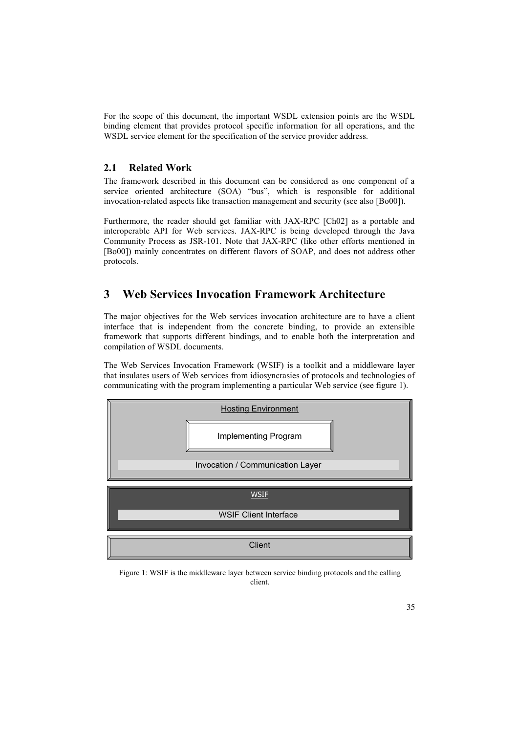For the scope of this document, the important WSDL extension points are the WSDL binding element that provides protocol specific information for all operations, and the WSDL service element for the specification of the service provider address.

### **2.1 Related Work**

The framework described in this document can be considered as one component of a service oriented architecture (SOA) "bus", which is responsible for additional invocation-related aspects like transaction management and security (see also [Bo00]).

Furthermore, the reader should get familiar with JAX-RPC [Ch02] as a portable and interoperable API for Web services. JAX-RPC is being developed through the Java Community Process as JSR-101. Note that JAX-RPC (like other efforts mentioned in [Bo00]) mainly concentrates on different flavors of SOAP, and does not address other protocols.

# **3 Web Services Invocation Framework Architecture**

The major objectives for the Web services invocation architecture are to have a client interface that is independent from the concrete binding, to provide an extensible framework that supports different bindings, and to enable both the interpretation and compilation of WSDL documents.

The Web Services Invocation Framework (WSIF) is a toolkit and a middleware layer that insulates users of Web services from idiosyncrasies of protocols and technologies of communicating with the program implementing a particular Web service (see figure 1).



Figure 1: WSIF is the middleware layer between service binding protocols and the calling client.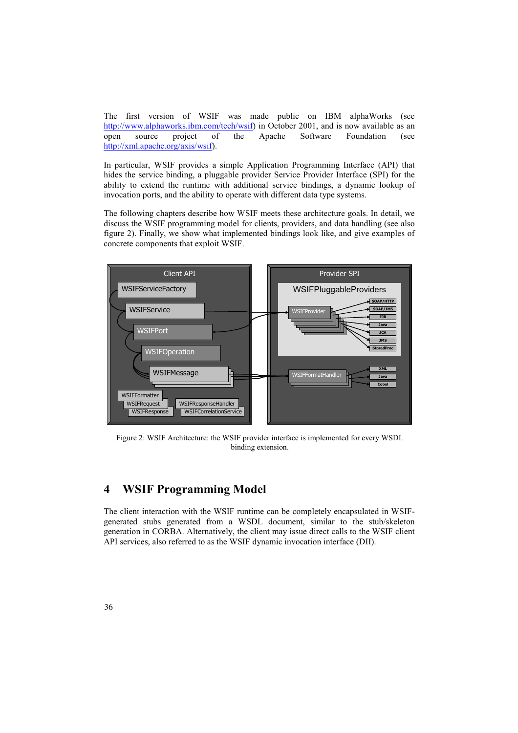The first version of WSIF was made public on IBM alphaWorks (see http://www.alphaworks.ibm.com/tech/wsif) in October 2001, and is now available as an open source project of the Apache Software Foundation (see http://xml.apache.org/axis/wsif).

In particular, WSIF provides a simple Application Programming Interface (API) that hides the service binding, a pluggable provider Service Provider Interface (SPI) for the ability to extend the runtime with additional service bindings, a dynamic lookup of invocation ports, and the ability to operate with different data type systems.

The following chapters describe how WSIF meets these architecture goals. In detail, we discuss the WSIF programming model for clients, providers, and data handling (see also figure 2). Finally, we show what implemented bindings look like, and give examples of concrete components that exploit WSIF.



Figure 2: WSIF Architecture: the WSIF provider interface is implemented for every WSDL binding extension.

# **4 WSIF Programming Model**

The client interaction with the WSIF runtime can be completely encapsulated in WSIFgenerated stubs generated from a WSDL document, similar to the stub/skeleton generation in CORBA. Alternatively, the client may issue direct calls to the WSIF client API services, also referred to as the WSIF dynamic invocation interface (DII).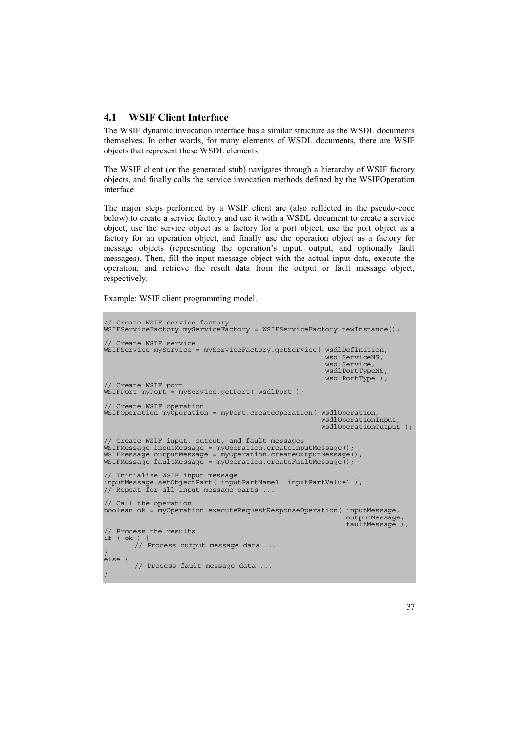### **4.1 WSIF Client Interface**

The WSIF dynamic invocation interface has a similar structure as the WSDL documents themselves. In other words, for many elements of WSDL documents, there are WSIF objects that represent these WSDL elements.

The WSIF client (or the generated stub) navigates through a hierarchy of WSIF factory objects, and finally calls the service invocation methods defined by the WSIFOperation interface.

The major steps performed by a WSIF client are (also reflected in the pseudo-code below) to create a service factory and use it with a WSDL document to create a service object, use the service object as a factory for a port object, use the port object as a factory for an operation object, and finally use the operation object as a factory for message objects (representing the operation's input, output, and optionally fault messages). Then, fill the input message object with the actual input data, execute the operation, and retrieve the result data from the output or fault message object, respectively.

Example: WSIF client programming model.

```
// Create WSIF service factory 
WSIFServiceFactory myServiceFactory = WSIFServiceFactory.newInstance(); 
// Create WSIF service 
WSIFService myService = myServiceFactory.getService( wsdlDefinition, 
                                                            wsdlServiceNS, 
                                                            wsdlService, 
                                                            wsdlPortTypeNS, 
                                                            wsdlPortType ); 
// Create WSIF port 
WSIFPort myPort = myService.getPort( wsdlPort ); 
// Create WSIF operation 
WSIFOperation myOperation = myPort.createOperation( wsdlOperation, 
                                                           wsdlOperationInput, 
                                                           wsdlOperationOutput ); 
// Create WSIF input, output, and fault messages 
WSIFMessage inputMessage = myOperation.createInputMessage(); 
WSIFMessage outputMessage = myOperation.createOutputMessage(); 
WSIFMessage faultMessage = myOperation.createFaultMessage(); 
// Initialize WSIF input message 
inputMessage.setObjectPart( inputPartName1, inputPartValue1 ); 
// Repeat for all input message parts ... 
// Call the operation 
boolean ok = myOperation.executeRequestResponseOperation( inputMessage, 
                                                                 outputMessage, 
                                                                 faultMessage ); 
// Process the results 
if ( ok ) { 
        // Process output message data ... 
}
else { 
        // Process fault message data ... 
}
```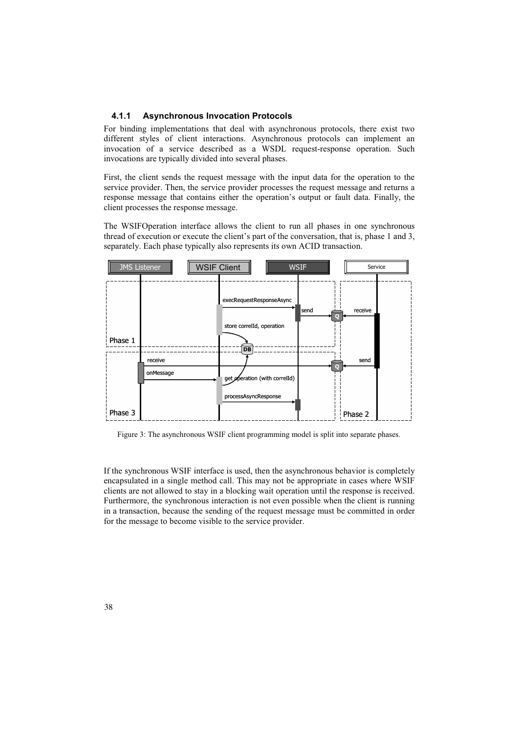#### **4.1.1 Asynchronous Invocation Protocols**

For binding implementations that deal with asynchronous protocols, there exist two different styles of client interactions. Asynchronous protocols can implement an invocation of a service described as a WSDL request-response operation. Such invocations are typically divided into several phases.

First, the client sends the request message with the input data for the operation to the service provider. Then, the service provider processes the request message and returns a response message that contains either the operation's output or fault data. Finally, the client processes the response message.

The WSIFOperation interface allows the client to run all phases in one synchronous thread of execution or execute the client's part of the conversation, that is, phase 1 and 3, separately. Each phase typically also represents its own ACID transaction.



Figure 3: The asynchronous WSIF client programming model is split into separate phases.

If the synchronous WSIF interface is used, then the asynchronous behavior is completely encapsulated in a single method call. This may not be appropriate in cases where WSIF clients are not allowed to stay in a blocking wait operation until the response is received. Furthermore, the synchronous interaction is not even possible when the client is running in a transaction, because the sending of the request message must be committed in order for the message to become visible to the service provider.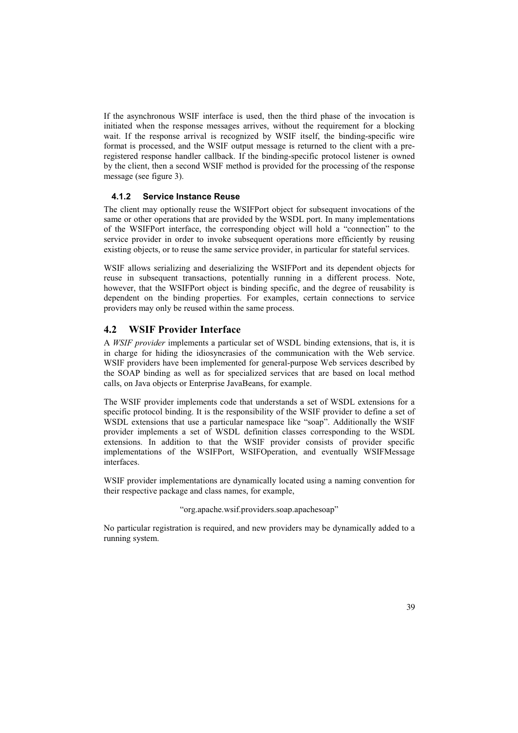If the asynchronous WSIF interface is used, then the third phase of the invocation is initiated when the response messages arrives, without the requirement for a blocking wait. If the response arrival is recognized by WSIF itself, the binding-specific wire format is processed, and the WSIF output message is returned to the client with a preregistered response handler callback. If the binding-specific protocol listener is owned by the client, then a second WSIF method is provided for the processing of the response message (see figure 3).

### **4.1.2 Service Instance Reuse**

The client may optionally reuse the WSIFPort object for subsequent invocations of the same or other operations that are provided by the WSDL port. In many implementations of the WSIFPort interface, the corresponding object will hold a "connection" to the service provider in order to invoke subsequent operations more efficiently by reusing existing objects, or to reuse the same service provider, in particular for stateful services.

WSIF allows serializing and deserializing the WSIFPort and its dependent objects for reuse in subsequent transactions, potentially running in a different process. Note, however, that the WSIFPort object is binding specific, and the degree of reusability is dependent on the binding properties. For examples, certain connections to service providers may only be reused within the same process.

### **4.2 WSIF Provider Interface**

A *WSIF provider* implements a particular set of WSDL binding extensions, that is, it is in charge for hiding the idiosyncrasies of the communication with the Web service. WSIF providers have been implemented for general-purpose Web services described by the SOAP binding as well as for specialized services that are based on local method calls, on Java objects or Enterprise JavaBeans, for example.

The WSIF provider implements code that understands a set of WSDL extensions for a specific protocol binding. It is the responsibility of the WSIF provider to define a set of WSDL extensions that use a particular namespace like "soap". Additionally the WSIF provider implements a set of WSDL definition classes corresponding to the WSDL extensions. In addition to that the WSIF provider consists of provider specific implementations of the WSIFPort, WSIFOperation, and eventually WSIFMessage interfaces.

WSIF provider implementations are dynamically located using a naming convention for their respective package and class names, for example,

"org.apache.wsif.providers.soap.apachesoap"

No particular registration is required, and new providers may be dynamically added to a running system.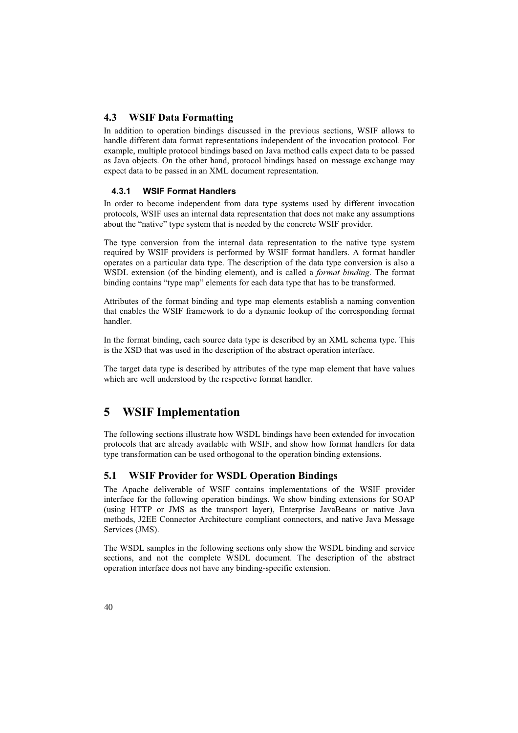### **4.3 WSIF Data Formatting**

In addition to operation bindings discussed in the previous sections, WSIF allows to handle different data format representations independent of the invocation protocol. For example, multiple protocol bindings based on Java method calls expect data to be passed as Java objects. On the other hand, protocol bindings based on message exchange may expect data to be passed in an XML document representation.

### **4.3.1 WSIF Format Handlers**

In order to become independent from data type systems used by different invocation protocols, WSIF uses an internal data representation that does not make any assumptions about the "native" type system that is needed by the concrete WSIF provider.

The type conversion from the internal data representation to the native type system required by WSIF providers is performed by WSIF format handlers. A format handler operates on a particular data type. The description of the data type conversion is also a WSDL extension (of the binding element), and is called a *format binding*. The format binding contains "type map" elements for each data type that has to be transformed.

Attributes of the format binding and type map elements establish a naming convention that enables the WSIF framework to do a dynamic lookup of the corresponding format handler.

In the format binding, each source data type is described by an XML schema type. This is the XSD that was used in the description of the abstract operation interface.

The target data type is described by attributes of the type map element that have values which are well understood by the respective format handler.

## **5 WSIF Implementation**

The following sections illustrate how WSDL bindings have been extended for invocation protocols that are already available with WSIF, and show how format handlers for data type transformation can be used orthogonal to the operation binding extensions.

### **5.1 WSIF Provider for WSDL Operation Bindings**

The Apache deliverable of WSIF contains implementations of the WSIF provider interface for the following operation bindings. We show binding extensions for SOAP (using HTTP or JMS as the transport layer), Enterprise JavaBeans or native Java methods, J2EE Connector Architecture compliant connectors, and native Java Message Services (JMS).

The WSDL samples in the following sections only show the WSDL binding and service sections, and not the complete WSDL document. The description of the abstract operation interface does not have any binding-specific extension.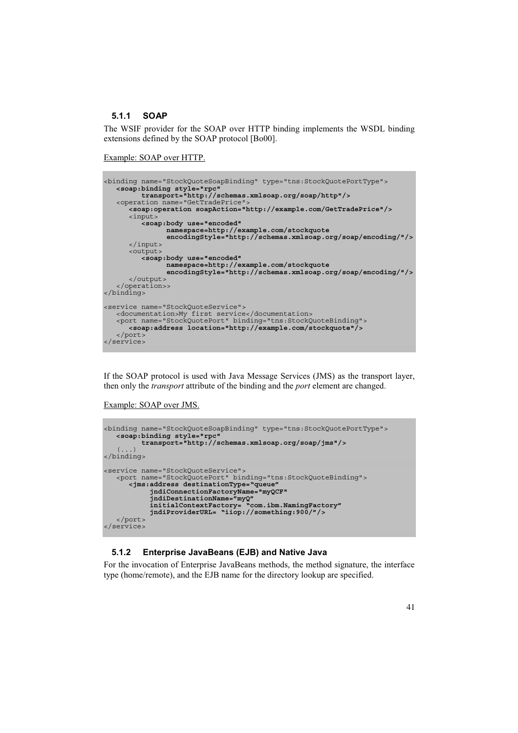### **5.1.1 SOAP**

The WSIF provider for the SOAP over HTTP binding implements the WSDL binding extensions defined by the SOAP protocol [Bo00].

Example: SOAP over HTTP.

```
<binding name="StockQuoteSoapBinding" type="tns:StockQuotePortType"> 
   <soap:binding style="rpc"
 transport="http://schemas.xmlsoap.org/soap/http"/> 
 <operation name="GetTradePrice"> 
       <soap:operation soapAction="http://example.com/GetTradePrice"/> 
      <input> 
          <soap:body use="encoded"
 namespace=http://example.com/stockquote 
 encodingStyle="http://schemas.xmlsoap.org/soap/encoding/"/>
      </input> 
       <output> 
          <soap:body use="encoded"
 namespace=http://example.com/stockquote 
 encodingStyle="http://schemas.xmlsoap.org/soap/encoding/"/>
      </output> 
    </operation>> 
</binding>
<service name="StockQuoteService"> 
 <documentation>My first service</documentation> 
 <port name="StockQuotePort" binding="tns:StockQuoteBinding"> 
      <soap:address location="http://example.com/stockquote"/>
    </port> 
</service>
```
If the SOAP protocol is used with Java Message Services (JMS) as the transport layer, then only the *transport* attribute of the binding and the *port* element are changed.

Example: SOAP over JMS.

```
<binding name="StockQuoteSoapBinding" type="tns:StockQuotePortType"> 
 <soap:binding style="rpc"
 transport="http://schemas.xmlsoap.org/soap/jms"/> 
      \cdot)
</binding>
<service name="StockQuoteService"> 
 <port name="StockQuotePort" binding="tns:StockQuoteBinding"> 
 <jms:address destinationType="queue" 
 jndiConnectionFactoryName="myQCF" 
             jndiDestinationName="myQ" 
 initialContextFactory= "com.ibm.NamingFactory"
 jndiProviderURL= "iiop://something:900/"/> 
    </port> 
</service>
```
#### **5.1.2 Enterprise JavaBeans (EJB) and Native Java**

For the invocation of Enterprise JavaBeans methods, the method signature, the interface type (home/remote), and the EJB name for the directory lookup are specified.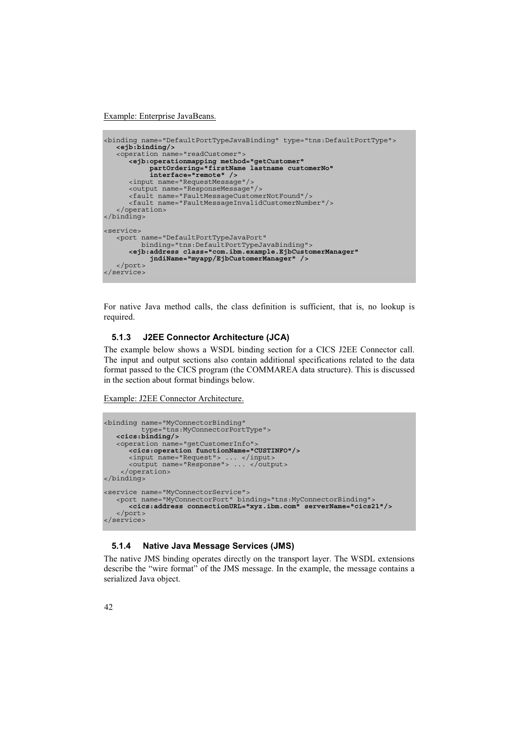Example: Enterprise JavaBeans.

```
<binding name="DefaultPortTypeJavaBinding" type="tns:DefaultPortType"> 
   <ejb:binding/> 
   <operation name="readCustomer"> 
      <ejb:operationmapping method="getCustomer"
 partOrdering="firstName lastname customerNo" 
 interface="remote" /> 
      <input name="RequestMessage"/> 
 <output name="ResponseMessage"/> 
 <fault name="FaultMessageCustomerNotFound"/> 
      <fault name="FaultMessageInvalidCustomerNumber"/> 
    </operation> 
</binding>
<service>
   <port name="DefaultPortTypeJavaPort"
         binding="tns:DefaultPortTypeJavaBinding"> 
       <ejb:address class="com.ibm.example.EjbCustomerManager" 
           jndiName="myapp/EjbCustomerManager" /> 
   </port> 
</service>
```
For native Java method calls, the class definition is sufficient, that is, no lookup is required.

#### **5.1.3 J2EE Connector Architecture (JCA)**

The example below shows a WSDL binding section for a CICS J2EE Connector call. The input and output sections also contain additional specifications related to the data format passed to the CICS program (the COMMAREA data structure). This is discussed in the section about format bindings below.

Example: J2EE Connector Architecture.

```
<binding name="MyConnectorBinding" 
 type="tns:MyConnectorPortType"> 
<cics:binding/>
    <operation name="getCustomerInfo"> 
       <cics:operation functionName="CUSTINFO"/> 
 <input name="Request"> ... </input> 
 <output name="Response"> ... </output> 
 </operation> 
</binding>
<service name="MyConnectorService"> 
 <port name="MyConnectorPort" binding="tns:MyConnectorBinding"> 
       <cics:address connectionURL="xyz.ibm.com" serverName="cics21"/> 
    </port> 
</service>
```
#### **5.1.4 Native Java Message Services (JMS)**

The native JMS binding operates directly on the transport layer. The WSDL extensions describe the "wire format" of the JMS message. In the example, the message contains a serialized Java object.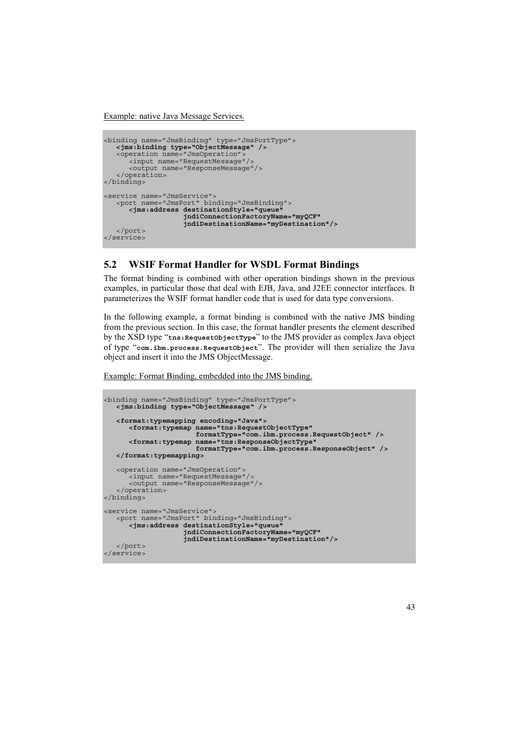Example: native Java Message Services.

```
<binding name="JmsBinding" type="JmsPortType"> 
 <jms:binding type="ObjectMessage" /> 
 <operation name="JmsOperation"> 
       <input name="RequestMessage"/> 
       <output name="ResponseMessage"/> 
    </operation> 
</binding>
<service name="JmsService"> 
   <port name="JmsPort" binding="JmsBinding"> 
       <jms:address destinationStyle="queue"
                    jndiConnectionFactoryName="myQCF"
                    jndiDestinationName="myDestination"/> 
 </port> 
</service>
```
### **5.2 WSIF Format Handler for WSDL Format Bindings**

The format binding is combined with other operation bindings shown in the previous examples, in particular those that deal with EJB, Java, and J2EE connector interfaces. It parameterizes the WSIF format handler code that is used for data type conversions.

In the following example, a format binding is combined with the native JMS binding from the previous section. In this case, the format handler presents the element described by the XSD type "**tns:RequestObjectType**" to the JMS provider as complex Java object of type "**com.ibm.process.RequestObject**". The provider will then serialize the Java object and insert it into the JMS ObjectMessage.

Example: Format Binding, embedded into the JMS binding.

```
<binding name="JmsBinding" type="JmsPortType"> 
   <jms:binding type="ObjectMessage" /> 
  <format:typemapping encoding="Java"> 
 <format:typemap name="tns:RequestObjectType"
 formatType="com.ibm.process.RequestObject" /> 
      <format:typemap name="tns:ResponseObjectType"
                     formatType="com.ibm.process.ResponseObject" /> 
   </format:typemapping>
   <operation name="JmsOperation"> 
      <input name="RequestMessage"/> 
     <output name="ResponseMessage"/>
    </operation> 
</binding>
<service name="JmsService"> 
 <port name="JmsPort" binding="JmsBinding"> 
      <jms:address destinationStyle="queue"
 jndiConnectionFactoryName="myQCF"
 jndiDestinationName="myDestination"/> 
   </port> 
</service>
```